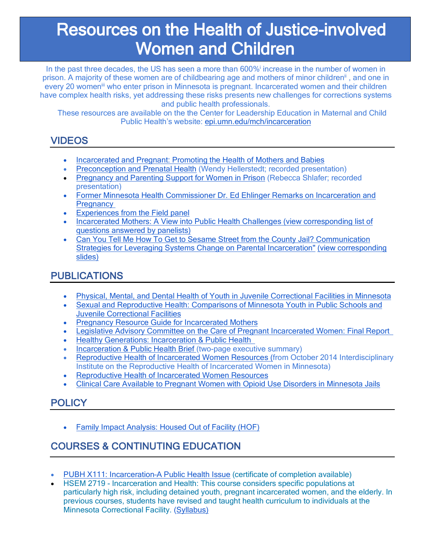# **Resources on the Health of Justice-involved Women and Children**

In the past three decades, the US has seen a more than 600% increase in the number of women in prison. A majority of these women are of childbearing age and mothers of minor children<sup>ii</sup>, and one in every 20 women<sup>iii</sup> who enter prison in Minnesota is pregnant. Incarcerated women and their children have complex health risks, yet addressing these risks presents new challenges for corrections systems and public health professionals.

These resources are available on the the Center for Leadership Education in Maternal and Child Public Health's website: epi.umn.edu/mch/incarceration

## **VIDEOS**

- Incarcerated and Pregnant: Promoting the Health of Mothers and Babies
- Preconception and Prenatal Health (Wendy Hellerstedt; recorded presentation)
- Pregnancy and Parenting Support for Women in Prison (Rebecca Shlafer; recorded presentation)
- Former Minnesota Health Commissioner Dr. Ed Ehlinger Remarks on Incarceration and **Pregnancy**
- Experiences from the Field panel
- Incarcerated Mothers: A View into Public Health Challenges (view corresponding list of questions answered by panelists)
- Can You Tell Me How To Get to Sesame Street from the County Jail? Communication Strategies for Leveraging Systems Change on Parental Incarceration" (view corresponding slides)

# PUBLICATIONS

- Physical, Mental, and Dental Health of Youth in Juvenile Correctional Facilities in Minnesota
- Sexual and Reproductive Health: Comparisons of Minnesota Youth in Public Schools and Juvenile Correctional Facilities
- Pregnancy Resource Guide for Incarcerated Mothers
- **Legislative Advisory Committee on the Care of Pregnant Incarcerated Women: Final Report**
- Healthy Generations: Incarceration & Public Health
- Incarceration & Public Health Brief (two-page executive summary)
- Reproductive Health of Incarcerated Women Resources (from October 2014 Interdisciplinary Institute on the Reproductive Health of Incarcerated Women in Minnesota)
- Reproductive Health of Incarcerated Women Resources
- Clinical Care Available to Pregnant Women with Opioid Use Disorders in Minnesota Jails

## **POLICY**

• Family Impact Analysis: Housed Out of Facility (HOF)

# COURSES & CONTINUTING EDUCATION

- PUBH X111: Incarceration–A Public Health Issue (certificate of completion available)
- HSEM 2719 Incarceration and Health: This course considers specific populations at particularly high risk, including detained youth, pregnant incarcerated women, and the elderly. In previous courses, students have revised and taught health curriculum to individuals at the Minnesota Correctional Facility. (Syllabus)